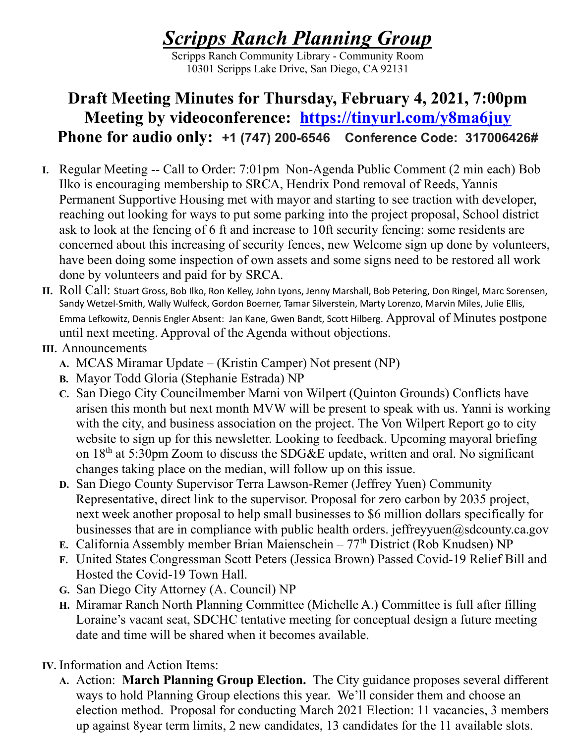## Scripps Ranch Planning Group

Scripps Ranch Community Library - Community Room 10301 Scripps Lake Drive, San Diego, CA 92131

## Draft Meeting Minutes for Thursday, February 4, 2021, 7:00pm Meeting by videoconference: https://tinyurl.com/y8ma6juy Phone for audio only: +1 (747) 200-6546 Conference Code: 317006426#

- I. Regular Meeting -- Call to Order: 7:01pm Non-Agenda Public Comment (2 min each) Bob Ilko is encouraging membership to SRCA, Hendrix Pond removal of Reeds, Yannis Permanent Supportive Housing met with mayor and starting to see traction with developer, reaching out looking for ways to put some parking into the project proposal, School district ask to look at the fencing of 6 ft and increase to 10ft security fencing: some residents are concerned about this increasing of security fences, new Welcome sign up done by volunteers, have been doing some inspection of own assets and some signs need to be restored all work done by volunteers and paid for by SRCA.
- II. Roll Call: Stuart Gross, Bob Ilko, Ron Kelley, John Lyons, Jenny Marshall, Bob Petering, Don Ringel, Marc Sorensen, Sandy Wetzel-Smith, Wally Wulfeck, Gordon Boerner, Tamar Silverstein, Marty Lorenzo, Marvin Miles, Julie Ellis, Emma Lefkowitz, Dennis Engler Absent: Jan Kane, Gwen Bandt, Scott Hilberg. Approval of Minutes postpone until next meeting. Approval of the Agenda without objections.

## III. Announcements

- A. MCAS Miramar Update (Kristin Camper) Not present (NP)
- B. Mayor Todd Gloria (Stephanie Estrada) NP
- C. San Diego City Councilmember Marni von Wilpert (Quinton Grounds) Conflicts have arisen this month but next month MVW will be present to speak with us. Yanni is working with the city, and business association on the project. The Von Wilpert Report go to city website to sign up for this newsletter. Looking to feedback. Upcoming mayoral briefing on  $18<sup>th</sup>$  at 5:30pm Zoom to discuss the SDG&E update, written and oral. No significant changes taking place on the median, will follow up on this issue.
- D. San Diego County Supervisor Terra Lawson-Remer (Jeffrey Yuen) Community Representative, direct link to the supervisor. Proposal for zero carbon by 2035 project, next week another proposal to help small businesses to \$6 million dollars specifically for businesses that are in compliance with public health orders. jeffreyyuen $@$ sdcounty.ca.gov
- E. California Assembly member Brian Maienschein  $77<sup>th</sup>$  District (Rob Knudsen) NP
- F. United States Congressman Scott Peters (Jessica Brown) Passed Covid-19 Relief Bill and Hosted the Covid-19 Town Hall.
- G. San Diego City Attorney (A. Council) NP
- H. Miramar Ranch North Planning Committee (Michelle A.) Committee is full after filling Loraine's vacant seat, SDCHC tentative meeting for conceptual design a future meeting date and time will be shared when it becomes available.
- IV. Information and Action Items:
	- A. Action: March Planning Group Election. The City guidance proposes several different ways to hold Planning Group elections this year. We'll consider them and choose an election method. Proposal for conducting March 2021 Election: 11 vacancies, 3 members up against 8year term limits, 2 new candidates, 13 candidates for the 11 available slots.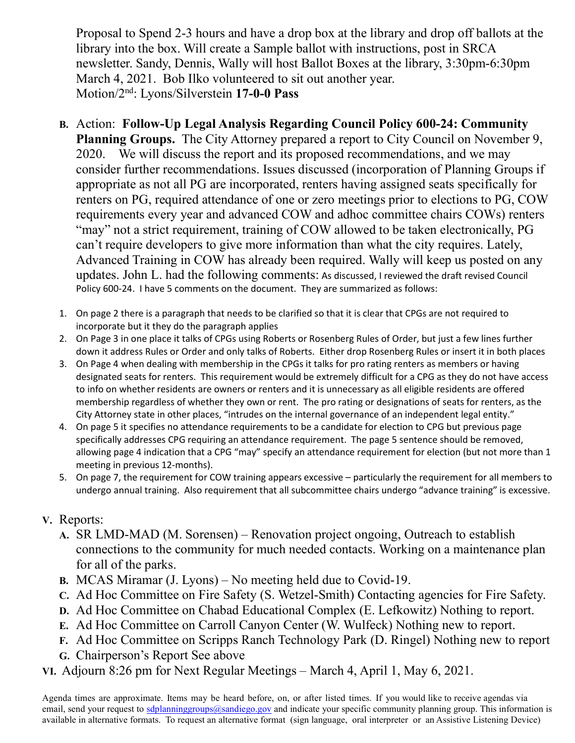Proposal to Spend 2-3 hours and have a drop box at the library and drop off ballots at the library into the box. Will create a Sample ballot with instructions, post in SRCA newsletter. Sandy, Dennis, Wally will host Ballot Boxes at the library, 3:30pm-6:30pm March 4, 2021. Bob Ilko volunteered to sit out another year. Motion/2nd: Lyons/Silverstein 17-0-0 Pass

- B. Action: Follow-Up Legal Analysis Regarding Council Policy 600-24: Community Planning Groups. The City Attorney prepared a report to City Council on November 9, 2020. We will discuss the report and its proposed recommendations, and we may consider further recommendations. Issues discussed (incorporation of Planning Groups if appropriate as not all PG are incorporated, renters having assigned seats specifically for renters on PG, required attendance of one or zero meetings prior to elections to PG, COW requirements every year and advanced COW and adhoc committee chairs COWs) renters "may" not a strict requirement, training of COW allowed to be taken electronically, PG can't require developers to give more information than what the city requires. Lately, Advanced Training in COW has already been required. Wally will keep us posted on any updates. John L. had the following comments: As discussed, I reviewed the draft revised Council Policy 600-24. I have 5 comments on the document. They are summarized as follows:
- 1. On page 2 there is a paragraph that needs to be clarified so that it is clear that CPGs are not required to incorporate but it they do the paragraph applies
- 2. On Page 3 in one place it talks of CPGs using Roberts or Rosenberg Rules of Order, but just a few lines further down it address Rules or Order and only talks of Roberts. Either drop Rosenberg Rules or insert it in both places
- 3. On Page 4 when dealing with membership in the CPGs it talks for pro rating renters as members or having designated seats for renters. This requirement would be extremely difficult for a CPG as they do not have access to info on whether residents are owners or renters and it is unnecessary as all eligible residents are offered membership regardless of whether they own or rent. The pro rating or designations of seats for renters, as the City Attorney state in other places, "intrudes on the internal governance of an independent legal entity."
- 4. On page 5 it specifies no attendance requirements to be a candidate for election to CPG but previous page specifically addresses CPG requiring an attendance requirement. The page 5 sentence should be removed, allowing page 4 indication that a CPG "may" specify an attendance requirement for election (but not more than 1 meeting in previous 12-months).
- 5. On page 7, the requirement for COW training appears excessive particularly the requirement for all members to undergo annual training. Also requirement that all subcommittee chairs undergo "advance training" is excessive.

## V. Reports:

- A. SR LMD-MAD (M. Sorensen) Renovation project ongoing, Outreach to establish connections to the community for much needed contacts. Working on a maintenance plan for all of the parks.
- B. MCAS Miramar (J. Lyons) No meeting held due to Covid-19.
- C. Ad Hoc Committee on Fire Safety (S. Wetzel-Smith) Contacting agencies for Fire Safety.
- D. Ad Hoc Committee on Chabad Educational Complex (E. Lefkowitz) Nothing to report.
- E. Ad Hoc Committee on Carroll Canyon Center (W. Wulfeck) Nothing new to report.
- F. Ad Hoc Committee on Scripps Ranch Technology Park (D. Ringel) Nothing new to report
- G. Chairperson's Report See above
- VI. Adjourn 8:26 pm for Next Regular Meetings March 4, April 1, May 6, 2021.

Agenda times are approximate. Items may be heard before, on, or after listed times. If you would like to receive agendas via email, send your request to sdplanninggroups@sandiego.gov and indicate your specific community planning group. This information is available in alternative formats. To request an alternative format (sign language, oral interpreter or an Assistive Listening Device)